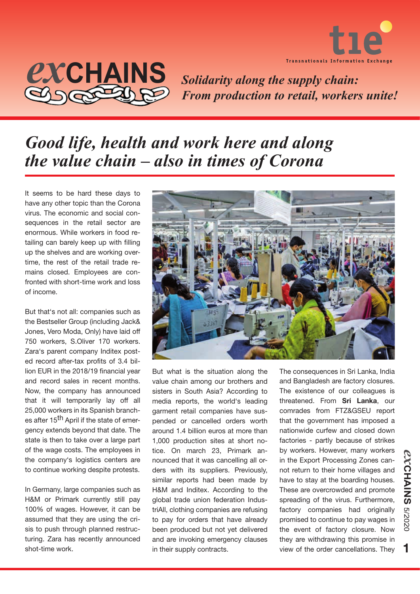

## *ex***CHAINS**

*Solidarity along the supply chain: From production to retail, workers unite!*

## *Good life, health and work here and along the value chain – also in times of Corona*

It seems to be hard these days to have any other topic than the Corona virus. The economic and social consequences in the retail sector are enormous. While workers in food retailing can barely keep up with filling up the shelves and are working overtime, the rest of the retail trade remains closed. Employees are confronted with short-time work and loss of income.

But that's not all: companies such as the Bestseller Group (including Jack& Jones, Vero Moda, Only) have laid off 750 workers, S.Oliver 170 workers. Zara's parent company Inditex posted record after-tax profits of 3.4 billion EUR in the 2018/19 financial year and record sales in recent months. Now, the company has announced that it will temporarily lay off all 25,000 workers in its Spanish branches after 15<sup>th</sup> April if the state of emergency extends beyond that date. The state is then to take over a large part of the wage costs. The employees in the company's logistics centers are to continue working despite protests.

In Germany, large companies such as H&M or Primark currently still pay 100% of wages. However, it can be assumed that they are using the crisis to push through planned restructuring. Zara has recently announced shot-time work.



But what is the situation along the value chain among our brothers and sisters in South Asia? According to media reports, the world's leading garment retail companies have suspended or cancelled orders worth around 1.4 billion euros at more than 1,000 production sites at short notice. On march 23, Primark announced that it was cancelling all orders with its suppliers. Previously, similar reports had been made by H&M and Inditex. According to the global trade union federation IndustriAll, clothing companies are refusing to pay for orders that have already been produced but not yet delivered and are invoking emergency clauses in their supply contracts.

The consequences in Sri Lanka, India and Bangladesh are factory closures. The existence of our colleagues is threatened. From **Sri Lanka**, our comrades from FTZ&GSEU report that the government has imposed a nationwide curfew and closed down factories - partly because of strikes by workers. However, many workers in the Export Processing Zones cannot return to their home villages and have to stay at the boarding houses. These are overcrowded and promote spreading of the virus. Furthermore, factory companies had originally promised to continue to pay wages in the event of factory closure. Now they are withdrawing this promise in view of the order cancellations. They